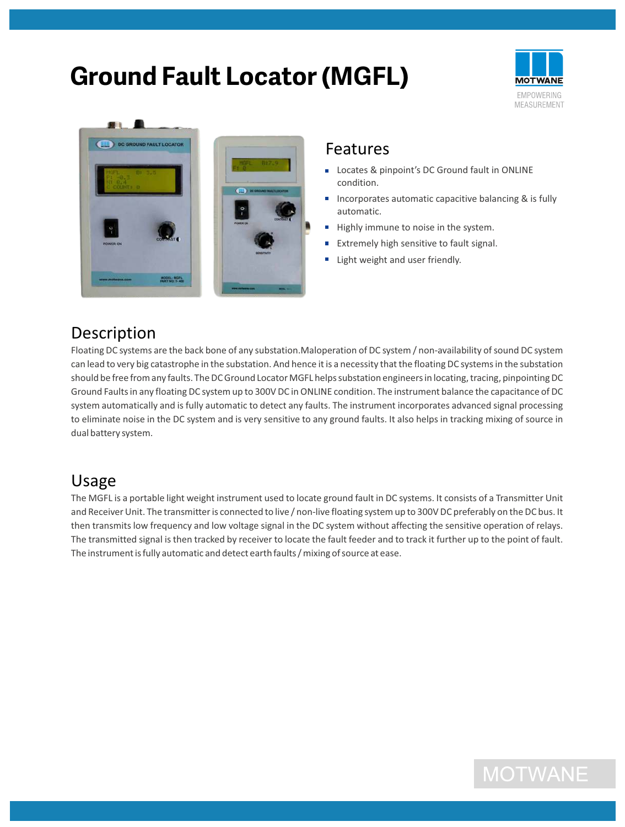# **Ground Fault Locator (MGFL)**





#### Features

- Locates & pinpoint's DC Ground fault in ONLINE condition.
- Incorporates automatic capacitive balancing & is fully automatic.
- Highly immune to noise in the system.  $\mathbb{Z}^2$
- $\blacksquare$ Extremely high sensitive to fault signal.
- **Light weight and user friendly.**

### Description

Floating DC systems are the back bone of any substation.Maloperation of DC system / non-availability of sound DC system can lead to very big catastrophe in the substation. And hence it is a necessity that the floating DC systems in the substation should be free from any faults. The DC Ground Locator MGFL helps substation engineers in locating, tracing, pinpointing DC Ground Faults in any floating DC system up to 300V DC in ONLINE condition. The instrument balance the capacitance of DC system automatically and is fully automatic to detect any faults. The instrument incorporates advanced signal processing to eliminate noise in the DC system and is very sensitive to any ground faults. It also helps in tracking mixing of source in dual battery system.

#### Usage

The MGFL is a portable light weight instrument used to locate ground fault in DC systems. It consists of a Transmitter Unit and Receiver Unit. The transmitter is connected to live / non-live floating system up to 300V DC preferably on the DC bus. It then transmits low frequency and low voltage signal in the DC system without affecting the sensitive operation of relays. The transmitted signal is then tracked by receiver to locate the fault feeder and to track it further up to the point of fault. The instrument is fully automatic and detect earth faults / mixing of source at ease.